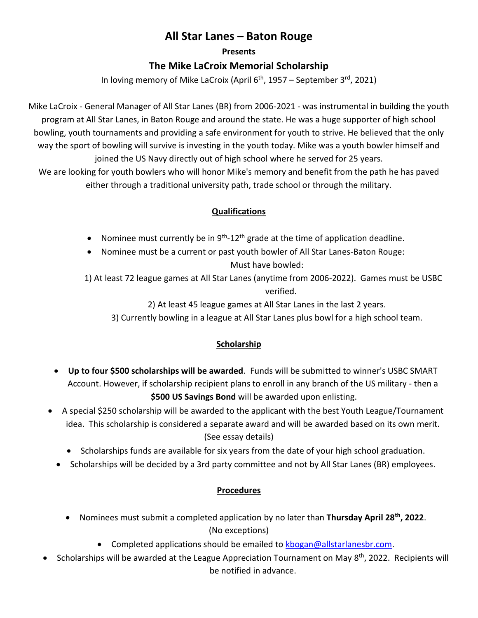## **All Star Lanes – Baton Rouge**

#### **Presents**

## **The Mike LaCroix Memorial Scholarship**

In loving memory of Mike LaCroix (April 6<sup>th</sup>, 1957 – September 3<sup>rd</sup>, 2021)

Mike LaCroix - General Manager of All Star Lanes (BR) from 2006-2021 - was instrumental in building the youth program at All Star Lanes, in Baton Rouge and around the state. He was a huge supporter of high school bowling, youth tournaments and providing a safe environment for youth to strive. He believed that the only way the sport of bowling will survive is investing in the youth today. Mike was a youth bowler himself and joined the US Navy directly out of high school where he served for 25 years.

We are looking for youth bowlers who will honor Mike's memory and benefit from the path he has paved either through a traditional university path, trade school or through the military.

## **Qualifications**

- Nominee must currently be in  $9<sup>th</sup> 12<sup>th</sup>$  grade at the time of application deadline.
- Nominee must be a current or past youth bowler of All Star Lanes-Baton Rouge: Must have bowled:

1) At least 72 league games at All Star Lanes (anytime from 2006-2022). Games must be USBC verified.

2) At least 45 league games at All Star Lanes in the last 2 years.

3) Currently bowling in a league at All Star Lanes plus bowl for a high school team.

## **Scholarship**

- **Up to four \$500 scholarships will be awarded**. Funds will be submitted to winner's USBC SMART Account. However, if scholarship recipient plans to enroll in any branch of the US military - then a **\$500 US Savings Bond** will be awarded upon enlisting.
- A special \$250 scholarship will be awarded to the applicant with the best Youth League/Tournament idea. This scholarship is considered a separate award and will be awarded based on its own merit. (See essay details)
	- Scholarships funds are available for six years from the date of your high school graduation.
	- Scholarships will be decided by a 3rd party committee and not by All Star Lanes (BR) employees.

## **Procedures**

- Nominees must submit a completed application by no later than **Thursday April 28th, 2022**. (No exceptions)
	- Completed applications should be emailed to [kbogan@allstarlanesbr.com.](mailto:kbogan@allstarlanesbr.com)
- Scholarships will be awarded at the League Appreciation Tournament on May 8<sup>th</sup>, 2022. Recipients will be notified in advance.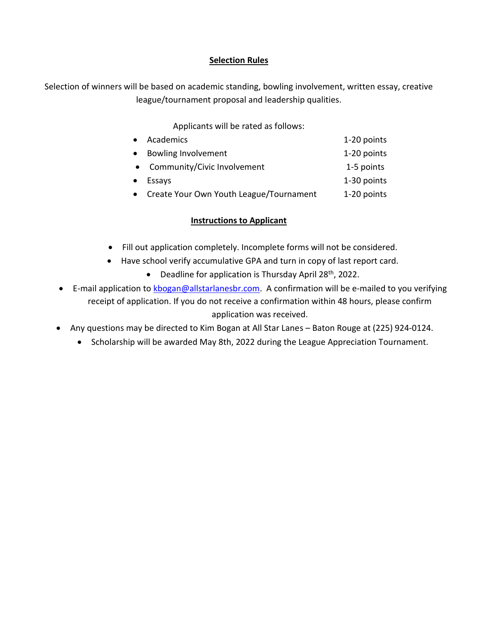### **Selection Rules**

Selection of winners will be based on academic standing, bowling involvement, written essay, creative league/tournament proposal and leadership qualities.

Applicants will be rated as follows:

| Academics                               | 1-20 points |
|-----------------------------------------|-------------|
| Bowling Involvement                     | 1-20 points |
| • Community/Civic Involvement           | 1-5 points  |
| Essays                                  | 1-30 points |
| Create Your Own Youth League/Tournament | 1-20 points |

### **Instructions to Applicant**

- Fill out application completely. Incomplete forms will not be considered.
- Have school verify accumulative GPA and turn in copy of last report card.
	- Deadline for application is Thursday April  $28<sup>th</sup>$ , 2022.
- E-mail application to [kbogan@allstarlanesbr.com.](mailto:kbogan@allstarlanesbr.com) A confirmation will be e-mailed to you verifying receipt of application. If you do not receive a confirmation within 48 hours, please confirm application was received.
- Any questions may be directed to Kim Bogan at All Star Lanes Baton Rouge at (225) 924-0124.
	- Scholarship will be awarded May 8th, 2022 during the League Appreciation Tournament.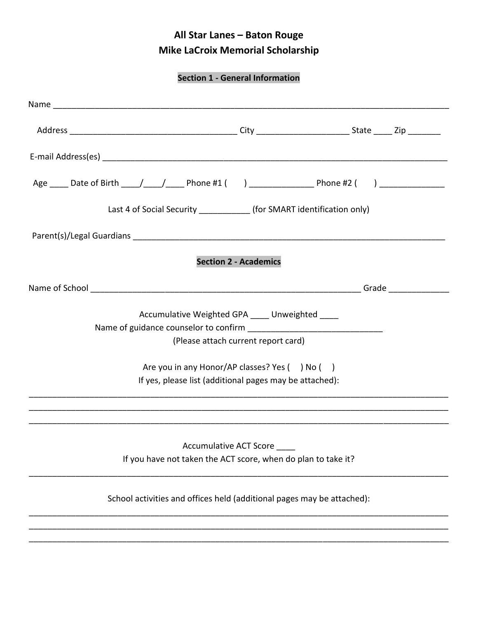# **All Star Lanes – Baton Rouge Mike LaCroix Memorial Scholarship**

**Section 1 - General Information**

|                                                                                                | Age _____ Date of Birth ____/____/_____ Phone #1 () __________________ Phone #2 () ________________ |
|------------------------------------------------------------------------------------------------|-----------------------------------------------------------------------------------------------------|
| Last 4 of Social Security ______________ (for SMART identification only)                       |                                                                                                     |
|                                                                                                |                                                                                                     |
| <b>Section 2 - Academics</b>                                                                   |                                                                                                     |
|                                                                                                |                                                                                                     |
| Accumulative Weighted GPA ____ Unweighted ____<br>(Please attach current report card)          |                                                                                                     |
| Are you in any Honor/AP classes? Yes () No ()                                                  |                                                                                                     |
| If yes, please list (additional pages may be attached):                                        |                                                                                                     |
|                                                                                                |                                                                                                     |
| <b>Accumulative ACT Score</b><br>If you have not taken the ACT score, when do plan to take it? |                                                                                                     |
| School activities and offices held (additional pages may be attached):                         |                                                                                                     |
|                                                                                                |                                                                                                     |
|                                                                                                |                                                                                                     |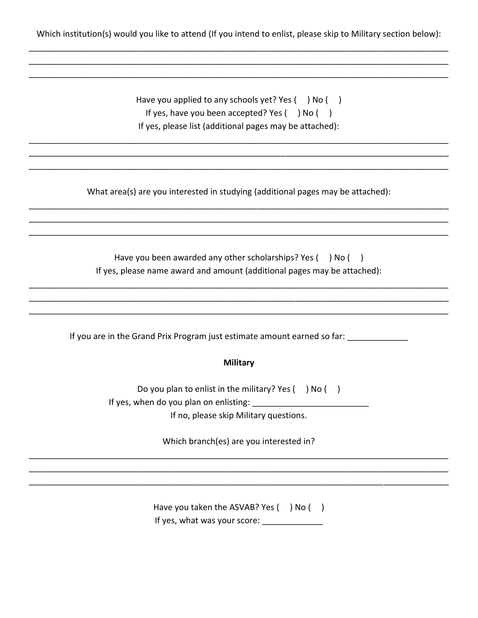Which institution(s) would you like to attend (If you intend to enlist, please skip to Military section below):

| Have you applied to any schools yet? Yes (<br>) No (    |
|---------------------------------------------------------|
| If yes, have you been accepted? Yes () No (             |
| If yes, please list (additional pages may be attached): |

What area(s) are you interested in studying (additional pages may be attached):

| Have you been awarded any other scholarships? Yes (                      | i Nol |  |
|--------------------------------------------------------------------------|-------|--|
| If yes, please name award and amount (additional pages may be attached): |       |  |

If you are in the Grand Prix Program just estimate amount earned so far: \_\_\_\_\_\_\_\_\_\_\_\_

#### **Military**

Do you plan to enlist in the military? Yes () No () 

If no, please skip Military questions.

Which branch(es) are you interested in?

Have you taken the ASVAB? Yes () No ()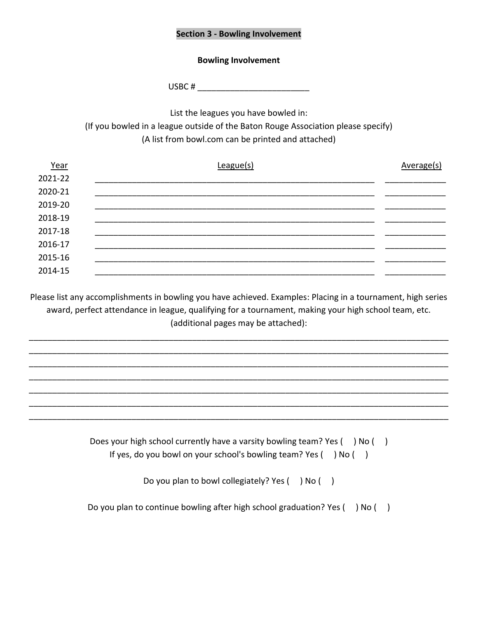#### **Section 3 - Bowling Involvement**

#### **Bowling Involvement**

USBC  $#$ 

List the leagues you have bowled in:

(If you bowled in a league outside of the Baton Rouge Association please specify) (A list from bowl.com can be printed and attached)

| Year    | League(s) | Average(s) |
|---------|-----------|------------|
| 2021-22 |           |            |
| 2020-21 |           |            |
| 2019-20 |           |            |
| 2018-19 |           |            |
| 2017-18 |           |            |
| 2016-17 |           |            |
| 2015-16 |           |            |
| 2014-15 |           |            |

Please list any accomplishments in bowling you have achieved. Examples: Placing in a tournament, high series award, perfect attendance in league, qualifying for a tournament, making your high school team, etc. (additional pages may be attached):

\_\_\_\_\_\_\_\_\_\_\_\_\_\_\_\_\_\_\_\_\_\_\_\_\_\_\_\_\_\_\_\_\_\_\_\_\_\_\_\_\_\_\_\_\_\_\_\_\_\_\_\_\_\_\_\_\_\_\_\_\_\_\_\_\_\_\_\_\_\_\_\_\_\_\_\_\_\_\_\_\_\_\_\_\_\_\_\_\_\_ \_\_\_\_\_\_\_\_\_\_\_\_\_\_\_\_\_\_\_\_\_\_\_\_\_\_\_\_\_\_\_\_\_\_\_\_\_\_\_\_\_\_\_\_\_\_\_\_\_\_\_\_\_\_\_\_\_\_\_\_\_\_\_\_\_\_\_\_\_\_\_\_\_\_\_\_\_\_\_\_\_\_\_\_\_\_\_\_\_\_ \_\_\_\_\_\_\_\_\_\_\_\_\_\_\_\_\_\_\_\_\_\_\_\_\_\_\_\_\_\_\_\_\_\_\_\_\_\_\_\_\_\_\_\_\_\_\_\_\_\_\_\_\_\_\_\_\_\_\_\_\_\_\_\_\_\_\_\_\_\_\_\_\_\_\_\_\_\_\_\_\_\_\_\_\_\_\_\_\_\_ \_\_\_\_\_\_\_\_\_\_\_\_\_\_\_\_\_\_\_\_\_\_\_\_\_\_\_\_\_\_\_\_\_\_\_\_\_\_\_\_\_\_\_\_\_\_\_\_\_\_\_\_\_\_\_\_\_\_\_\_\_\_\_\_\_\_\_\_\_\_\_\_\_\_\_\_\_\_\_\_\_\_\_\_\_\_\_\_\_\_ \_\_\_\_\_\_\_\_\_\_\_\_\_\_\_\_\_\_\_\_\_\_\_\_\_\_\_\_\_\_\_\_\_\_\_\_\_\_\_\_\_\_\_\_\_\_\_\_\_\_\_\_\_\_\_\_\_\_\_\_\_\_\_\_\_\_\_\_\_\_\_\_\_\_\_\_\_\_\_\_\_\_\_\_\_\_\_\_\_\_ \_\_\_\_\_\_\_\_\_\_\_\_\_\_\_\_\_\_\_\_\_\_\_\_\_\_\_\_\_\_\_\_\_\_\_\_\_\_\_\_\_\_\_\_\_\_\_\_\_\_\_\_\_\_\_\_\_\_\_\_\_\_\_\_\_\_\_\_\_\_\_\_\_\_\_\_\_\_\_\_\_\_\_\_\_\_\_\_\_\_ \_\_\_\_\_\_\_\_\_\_\_\_\_\_\_\_\_\_\_\_\_\_\_\_\_\_\_\_\_\_\_\_\_\_\_\_\_\_\_\_\_\_\_\_\_\_\_\_\_\_\_\_\_\_\_\_\_\_\_\_\_\_\_\_\_\_\_\_\_\_\_\_\_\_\_\_\_\_\_\_\_\_\_\_\_\_\_\_\_\_

> Does your high school currently have a varsity bowling team? Yes () No () If yes, do you bowl on your school's bowling team? Yes () No ()

> > Do you plan to bowl collegiately? Yes () No ()

Do you plan to continue bowling after high school graduation? Yes () No ()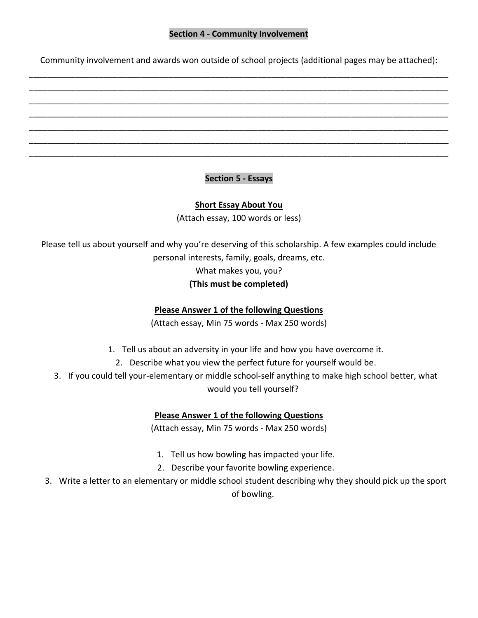#### **Section 4 - Community Involvement**

Community involvement and awards won outside of school projects (additional pages may be attached): \_\_\_\_\_\_\_\_\_\_\_\_\_\_\_\_\_\_\_\_\_\_\_\_\_\_\_\_\_\_\_\_\_\_\_\_\_\_\_\_\_\_\_\_\_\_\_\_\_\_\_\_\_\_\_\_\_\_\_\_\_\_\_\_\_\_\_\_\_\_\_\_\_\_\_\_\_\_\_\_\_\_\_\_\_\_\_\_\_\_

\_\_\_\_\_\_\_\_\_\_\_\_\_\_\_\_\_\_\_\_\_\_\_\_\_\_\_\_\_\_\_\_\_\_\_\_\_\_\_\_\_\_\_\_\_\_\_\_\_\_\_\_\_\_\_\_\_\_\_\_\_\_\_\_\_\_\_\_\_\_\_\_\_\_\_\_\_\_\_\_\_\_\_\_\_\_\_\_\_\_ \_\_\_\_\_\_\_\_\_\_\_\_\_\_\_\_\_\_\_\_\_\_\_\_\_\_\_\_\_\_\_\_\_\_\_\_\_\_\_\_\_\_\_\_\_\_\_\_\_\_\_\_\_\_\_\_\_\_\_\_\_\_\_\_\_\_\_\_\_\_\_\_\_\_\_\_\_\_\_\_\_\_\_\_\_\_\_\_\_\_ \_\_\_\_\_\_\_\_\_\_\_\_\_\_\_\_\_\_\_\_\_\_\_\_\_\_\_\_\_\_\_\_\_\_\_\_\_\_\_\_\_\_\_\_\_\_\_\_\_\_\_\_\_\_\_\_\_\_\_\_\_\_\_\_\_\_\_\_\_\_\_\_\_\_\_\_\_\_\_\_\_\_\_\_\_\_\_\_\_\_ \_\_\_\_\_\_\_\_\_\_\_\_\_\_\_\_\_\_\_\_\_\_\_\_\_\_\_\_\_\_\_\_\_\_\_\_\_\_\_\_\_\_\_\_\_\_\_\_\_\_\_\_\_\_\_\_\_\_\_\_\_\_\_\_\_\_\_\_\_\_\_\_\_\_\_\_\_\_\_\_\_\_\_\_\_\_\_\_\_\_ \_\_\_\_\_\_\_\_\_\_\_\_\_\_\_\_\_\_\_\_\_\_\_\_\_\_\_\_\_\_\_\_\_\_\_\_\_\_\_\_\_\_\_\_\_\_\_\_\_\_\_\_\_\_\_\_\_\_\_\_\_\_\_\_\_\_\_\_\_\_\_\_\_\_\_\_\_\_\_\_\_\_\_\_\_\_\_\_\_\_ \_\_\_\_\_\_\_\_\_\_\_\_\_\_\_\_\_\_\_\_\_\_\_\_\_\_\_\_\_\_\_\_\_\_\_\_\_\_\_\_\_\_\_\_\_\_\_\_\_\_\_\_\_\_\_\_\_\_\_\_\_\_\_\_\_\_\_\_\_\_\_\_\_\_\_\_\_\_\_\_\_\_\_\_\_\_\_\_\_\_

### **Section 5 - Essays**

#### **Short Essay About You**

(Attach essay, 100 words or less)

Please tell us about yourself and why you're deserving of this scholarship. A few examples could include personal interests, family, goals, dreams, etc. What makes you, you?

## **(This must be completed)**

#### **Please Answer 1 of the following Questions**

(Attach essay, Min 75 words - Max 250 words)

- 1. Tell us about an adversity in your life and how you have overcome it.
	- 2. Describe what you view the perfect future for yourself would be.
- 3. If you could tell your-elementary or middle school-self anything to make high school better, what would you tell yourself?

#### **Please Answer 1 of the following Questions**

(Attach essay, Min 75 words - Max 250 words)

- 1. Tell us how bowling has impacted your life.
- 2. Describe your favorite bowling experience.
- 3. Write a letter to an elementary or middle school student describing why they should pick up the sport of bowling.